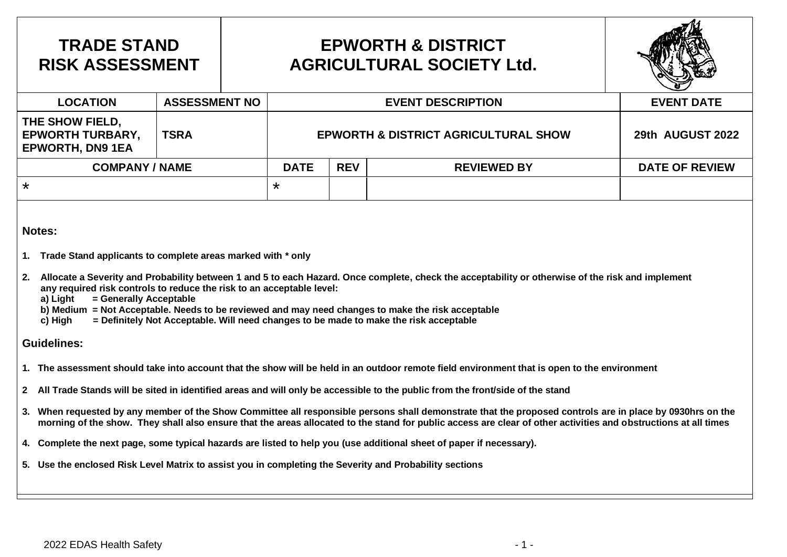## **TRADE STAND RISK ASSESSMENT**

## **EPWORTH & DISTRICT AGRICULTURAL SOCIETY Ltd.**



| <b>LOCATION</b>                                                       | <b>ASSESSMENT NO</b> |                                                 | <b>EVENT DATE</b> |                    |                       |
|-----------------------------------------------------------------------|----------------------|-------------------------------------------------|-------------------|--------------------|-----------------------|
| THE SHOW FIELD,<br><b>EPWORTH TURBARY,</b><br><b>EPWORTH, DN9 1EA</b> | TSRA                 | <b>EPWORTH &amp; DISTRICT AGRICULTURAL SHOW</b> | 29th AUGUST 2022  |                    |                       |
| <b>COMPANY / NAME</b>                                                 |                      | <b>DATE</b>                                     | <b>REV</b>        | <b>REVIEWED BY</b> | <b>DATE OF REVIEW</b> |
| $\star$                                                               |                      | $\star$                                         |                   |                    |                       |

#### **Notes:**

- **1. Trade Stand applicants to complete areas marked with \* only**
- **2. Allocate a Severity and Probability between 1 and 5 to each Hazard. Once complete, check the acceptability or otherwise of the risk and implement any required risk controls to reduce the risk to an acceptable level:**
	- **a) Light = Generally Acceptable**
	- **b) Medium = Not Acceptable. Needs to be reviewed and may need changes to make the risk acceptable**
	- **c) High = Definitely Not Acceptable. Will need changes to be made to make the risk acceptable**

### **Guidelines:**

- **1. The assessment should take into account that the show will be held in an outdoor remote field environment that is open to the environment**
- **2 All Trade Stands will be sited in identified areas and will only be accessible to the public from the front/side of the stand**
- **3. When requested by any member of the Show Committee all responsible persons shall demonstrate that the proposed controls are in place by 0930hrs on the morning of the show. They shall also ensure that the areas allocated to the stand for public access are clear of other activities and obstructions at all times**
- **4. Complete the next page, some typical hazards are listed to help you (use additional sheet of paper if necessary).**
- **5. Use the enclosed Risk Level Matrix to assist you in completing the Severity and Probability sections**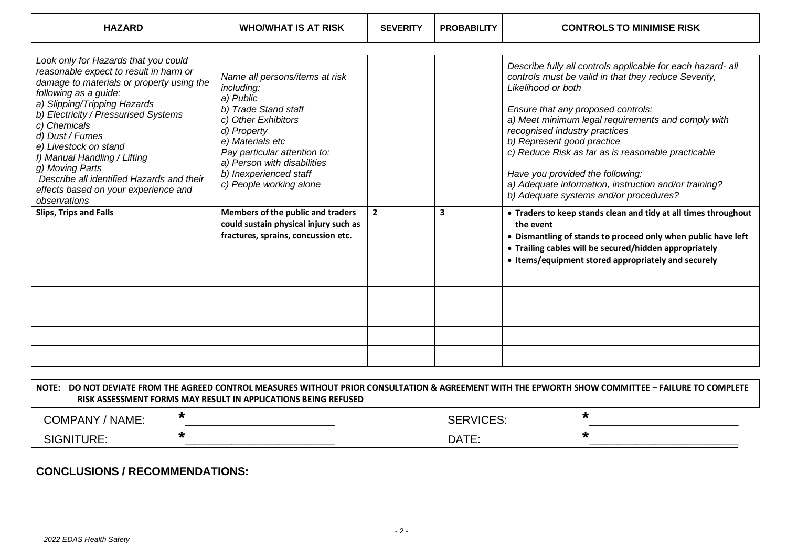| <b>HAZARD</b>                                                                                                                                                                                                                                                                                                                                                                                                                                    | <b>WHO/WHAT IS AT RISK</b>                                                                                                                                                                                                                                      | <b>SEVERITY</b> | <b>PROBABILITY</b> | <b>CONTROLS TO MINIMISE RISK</b>                                                                                                                                                                                                                                                                                                                                                                                                                                                                  |
|--------------------------------------------------------------------------------------------------------------------------------------------------------------------------------------------------------------------------------------------------------------------------------------------------------------------------------------------------------------------------------------------------------------------------------------------------|-----------------------------------------------------------------------------------------------------------------------------------------------------------------------------------------------------------------------------------------------------------------|-----------------|--------------------|---------------------------------------------------------------------------------------------------------------------------------------------------------------------------------------------------------------------------------------------------------------------------------------------------------------------------------------------------------------------------------------------------------------------------------------------------------------------------------------------------|
| Look only for Hazards that you could<br>reasonable expect to result in harm or<br>damage to materials or property using the<br>following as a guide:<br>a) Slipping/Tripping Hazards<br>b) Electricity / Pressurised Systems<br>c) Chemicals<br>d) Dust / Fumes<br>e) Livestock on stand<br>f) Manual Handling / Lifting<br>g) Moving Parts<br>Describe all identified Hazards and their<br>effects based on your experience and<br>observations | Name all persons/items at risk<br>including:<br>a) Public<br>b) Trade Stand staff<br>c) Other Exhibitors<br>d) Property<br>e) Materials etc<br>Pay particular attention to:<br>a) Person with disabilities<br>b) Inexperienced staff<br>c) People working alone |                 |                    | Describe fully all controls applicable for each hazard- all<br>controls must be valid in that they reduce Severity,<br>Likelihood or both<br>Ensure that any proposed controls:<br>a) Meet minimum legal requirements and comply with<br>recognised industry practices<br>b) Represent good practice<br>c) Reduce Risk as far as is reasonable practicable<br>Have you provided the following:<br>a) Adequate information, instruction and/or training?<br>b) Adequate systems and/or procedures? |
| <b>Slips, Trips and Falls</b>                                                                                                                                                                                                                                                                                                                                                                                                                    | Members of the public and traders<br>could sustain physical injury such as<br>fractures, sprains, concussion etc.                                                                                                                                               | $\overline{2}$  | 3                  | • Traders to keep stands clean and tidy at all times throughout<br>the event<br>• Dismantling of stands to proceed only when public have left<br>• Trailing cables will be secured/hidden appropriately<br>• Items/equipment stored appropriately and securely                                                                                                                                                                                                                                    |
|                                                                                                                                                                                                                                                                                                                                                                                                                                                  |                                                                                                                                                                                                                                                                 |                 |                    |                                                                                                                                                                                                                                                                                                                                                                                                                                                                                                   |
|                                                                                                                                                                                                                                                                                                                                                                                                                                                  |                                                                                                                                                                                                                                                                 |                 |                    | NOTE: DO NOT DEVIATE FROM THE AGREED CONTROL MEASURES WITHOUT PRIOR CONSULTATION & AGREEMENT WITH THE EPWORTH SHOW COMMITTEE – FAILURE TO COMPLETE                                                                                                                                                                                                                                                                                                                                                |

┱

| <b>COMPANY / NAME:</b>                | $\bm{\pi}$ | <b>SERVICES:</b> | *                    |
|---------------------------------------|------------|------------------|----------------------|
| SIGNITURE:                            |            | DATE:            | $\ddot{\phantom{0}}$ |
| <b>CONCLUSIONS / RECOMMENDATIONS:</b> |            |                  |                      |